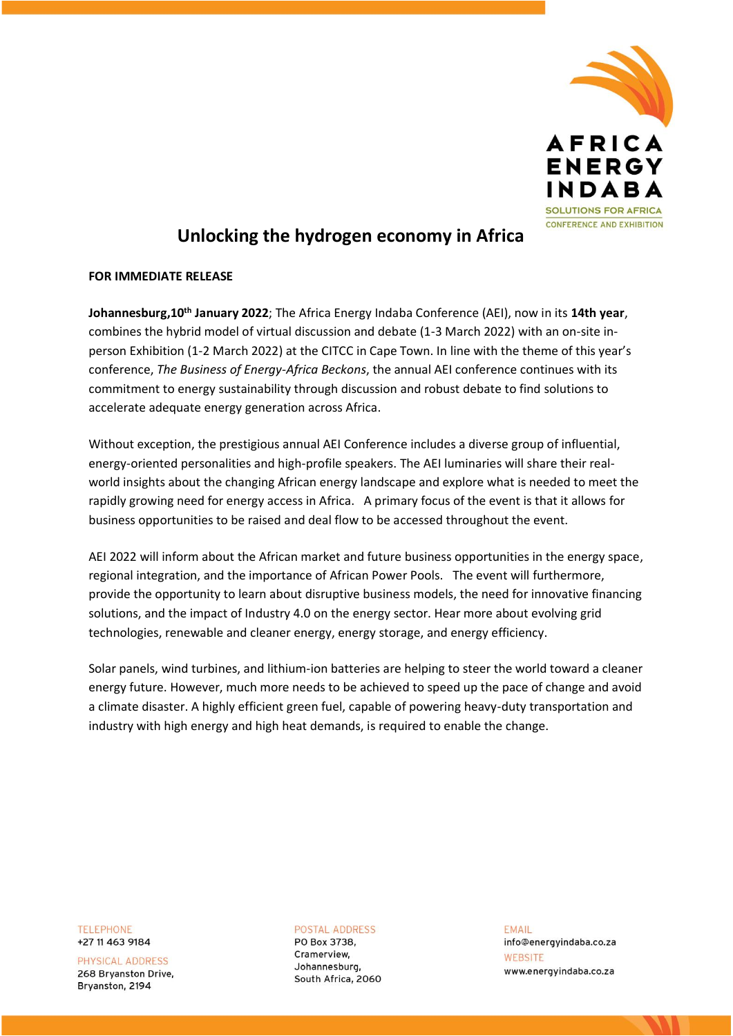

## **Unlocking the hydrogen economy in Africa**

## **FOR IMMEDIATE RELEASE**

**Johannesburg,10th January 2022**; The Africa Energy Indaba Conference (AEI), now in its **14th year**, combines the hybrid model of virtual discussion and debate (1-3 March 2022) with an on-site inperson Exhibition (1-2 March 2022) at the CITCC in Cape Town. In line with the theme of this year's conference, *The Business of Energy-Africa Beckons*, the annual AEI conference continues with its commitment to energy sustainability through discussion and robust debate to find solutions to accelerate adequate energy generation across Africa.

Without exception, the prestigious annual AEI Conference includes a diverse group of influential, energy-oriented personalities and high-profile speakers. The AEI luminaries will share their realworld insights about the changing African energy landscape and explore what is needed to meet the rapidly growing need for energy access in Africa. A primary focus of the event is that it allows for business opportunities to be raised and deal flow to be accessed throughout the event.

AEI 2022 will inform about the African market and future business opportunities in the energy space, regional integration, and the importance of African Power Pools. The event will furthermore, provide the opportunity to learn about disruptive business models, the need for innovative financing solutions, and the impact of Industry 4.0 on the energy sector. Hear more about evolving grid technologies, renewable and cleaner energy, energy storage, and energy efficiency.

Solar panels, wind turbines, and lithium-ion batteries are helping to steer the world toward a cleaner energy future. However, much more needs to be achieved to speed up the pace of change and avoid a climate disaster. A highly efficient green fuel, capable of powering heavy-duty transportation and industry with high energy and high heat demands, is required to enable the change.

**TELEPHONE** +27 11 463 9184

PHYSICAL ADDRESS 268 Bryanston Drive, Bryanston, 2194

**POSTAL ADDRESS** PO Box 3738, Cramerview. Johannesburg,

South Africa, 2060

**FMAIL** info@energyindaba.co.za WEBSITE www.energyindaba.co.za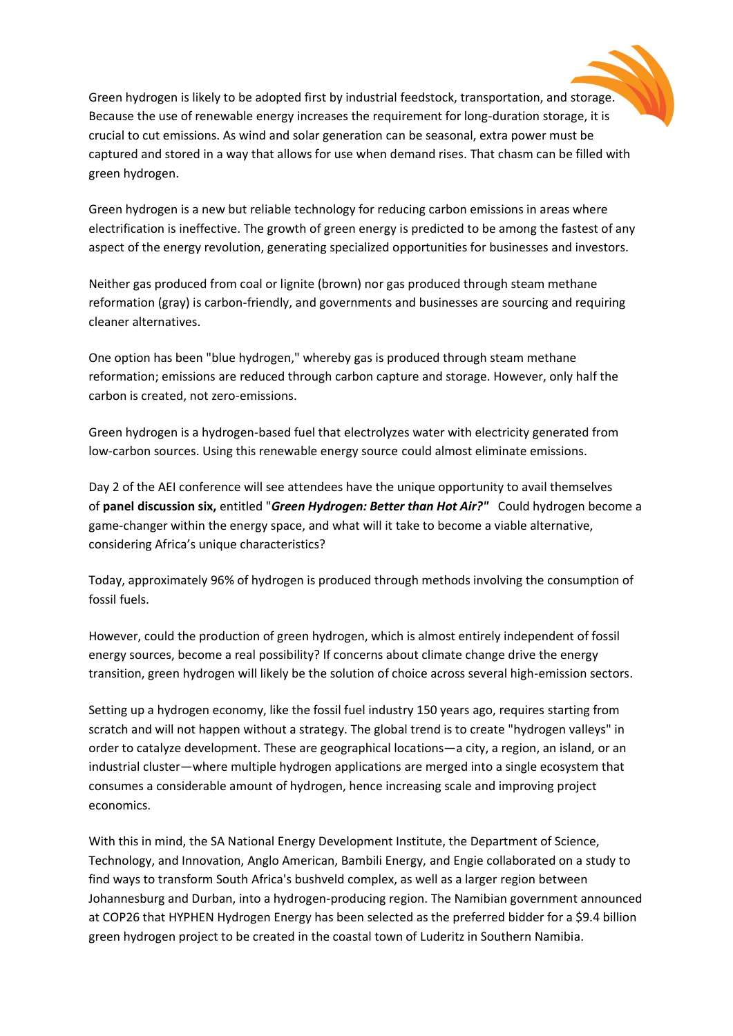Green hydrogen is likely to be adopted first by industrial feedstock, transportation, and storage. Because the use of renewable energy increases the requirement for long-duration storage, it is crucial to cut emissions. As wind and solar generation can be seasonal, extra power must be captured and stored in a way that allows for use when demand rises. That chasm can be filled with green hydrogen.

Green hydrogen is a new but reliable technology for reducing carbon emissions in areas where electrification is ineffective. The growth of green energy is predicted to be among the fastest of any aspect of the energy revolution, generating specialized opportunities for businesses and investors.

Neither gas produced from coal or lignite (brown) nor gas produced through steam methane reformation (gray) is carbon-friendly, and governments and businesses are sourcing and requiring cleaner alternatives.

One option has been "blue hydrogen," whereby gas is produced through steam methane reformation; emissions are reduced through carbon capture and storage. However, only half the carbon is created, not zero-emissions.

Green hydrogen is a hydrogen-based fuel that electrolyzes water with electricity generated from low-carbon sources. Using this renewable energy source could almost eliminate emissions.

Day 2 of the AEI conference will see attendees have the unique opportunity to avail themselves of **panel discussion six,** entitled "*Green Hydrogen: Better than Hot Air?"* Could hydrogen become a game-changer within the energy space, and what will it take to become a viable alternative, considering Africa's unique characteristics?

Today, approximately 96% of hydrogen is produced through methods involving the consumption of fossil fuels.

However, could the production of green hydrogen, which is almost entirely independent of fossil energy sources, become a real possibility? If concerns about climate change drive the energy transition, green hydrogen will likely be the solution of choice across several high-emission sectors.

Setting up a hydrogen economy, like the fossil fuel industry 150 years ago, requires starting from scratch and will not happen without a strategy. The global trend is to create "hydrogen valleys" in order to catalyze development. These are geographical locations—a city, a region, an island, or an industrial cluster—where multiple hydrogen applications are merged into a single ecosystem that consumes a considerable amount of hydrogen, hence increasing scale and improving project economics.

With this in mind, the SA National Energy Development Institute, the Department of Science, Technology, and Innovation, Anglo American, Bambili Energy, and Engie collaborated on a study to find ways to transform South Africa's bushveld complex, as well as a larger region between Johannesburg and Durban, into a hydrogen-producing region. The Namibian government announced at COP26 that HYPHEN Hydrogen Energy has been selected as the preferred bidder for a \$9.4 billion green hydrogen project to be created in the coastal town of Luderitz in Southern Namibia.